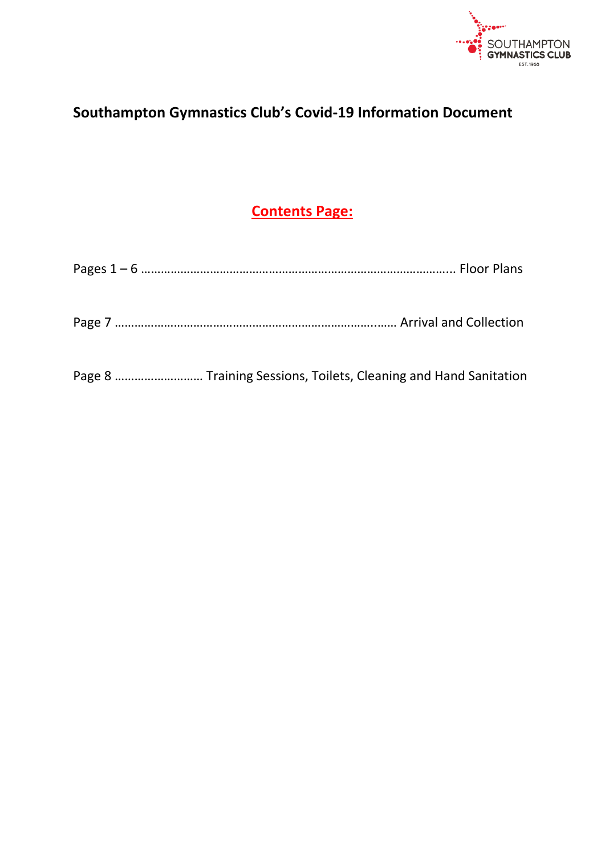

# **Southampton Gymnastics Club's Covid-19 Information Document**

# **Contents Page:**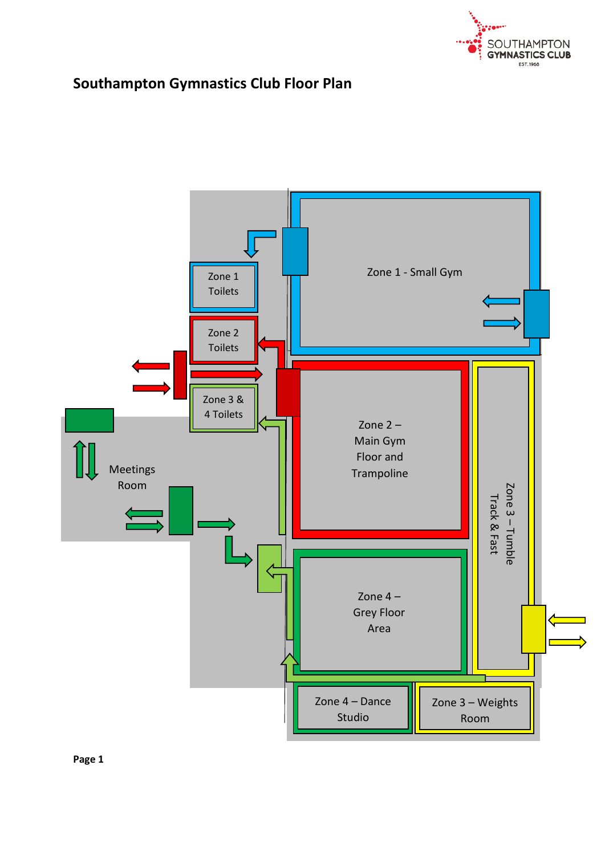

## **Southampton Gymnastics Club Floor Plan**

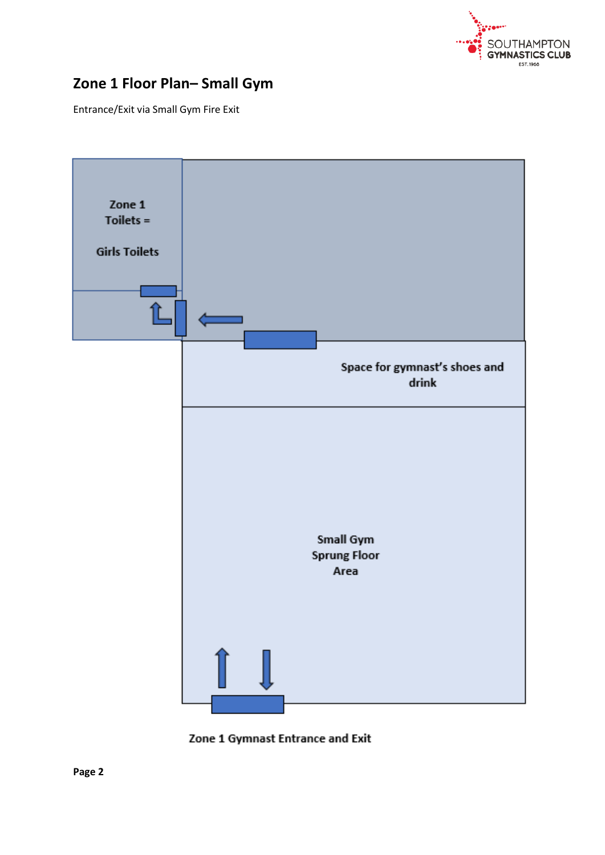

## **Zone 1 Floor Plan– Small Gym**

Entrance/Exit via Small Gym Fire Exit



Zone 1 Gymnast Entrance and Exit

**Page 2**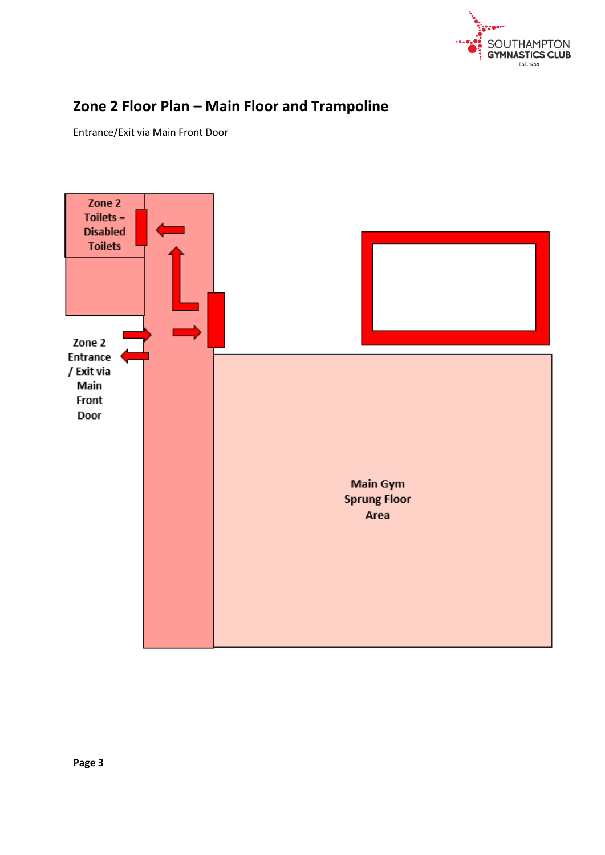

## **Zone 2 Floor Plan – Main Floor and Trampoline**

Entrance/Exit via Main Front Door

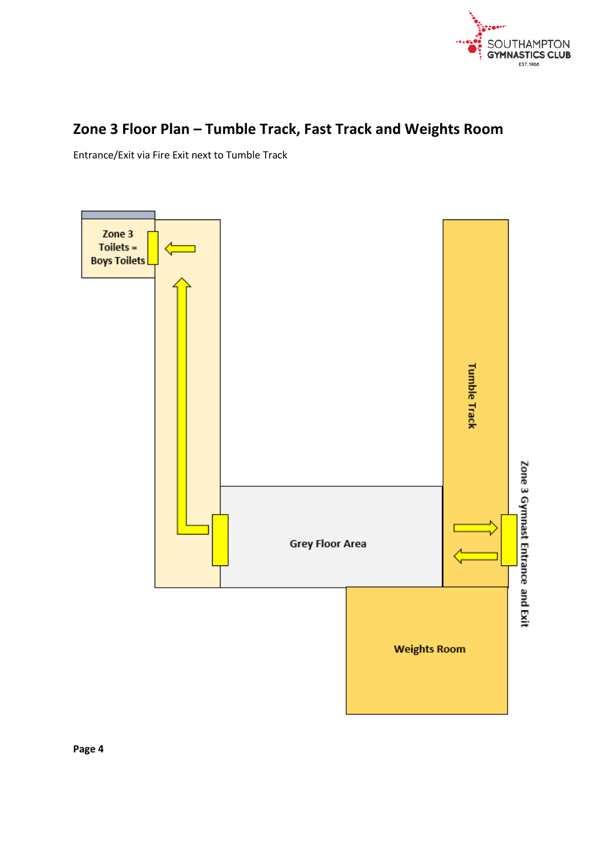

## **Zone 3 Floor Plan – Tumble Track, Fast Track and Weights Room**

Entrance/Exit via Fire Exit next to Tumble Track

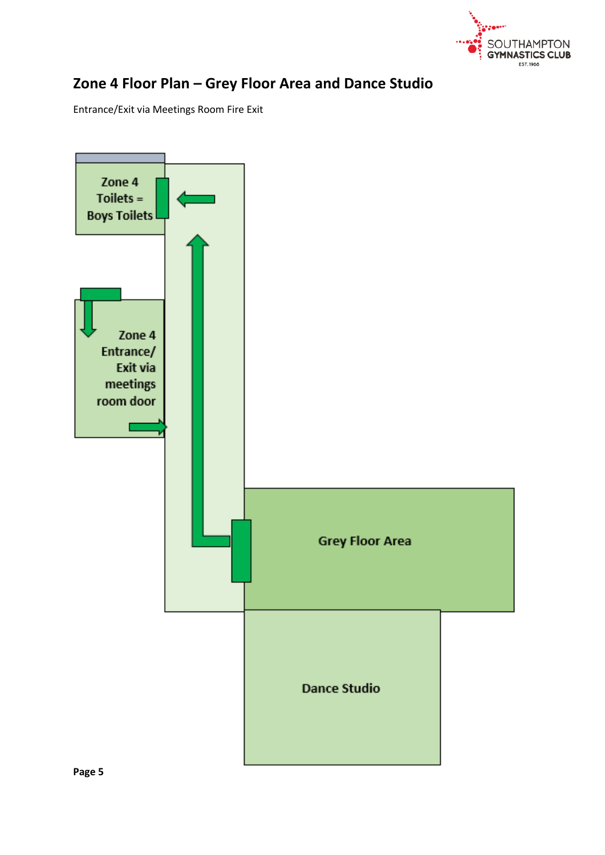

## **Zone 4 Floor Plan – Grey Floor Area and Dance Studio**

Entrance/Exit via Meetings Room Fire Exit

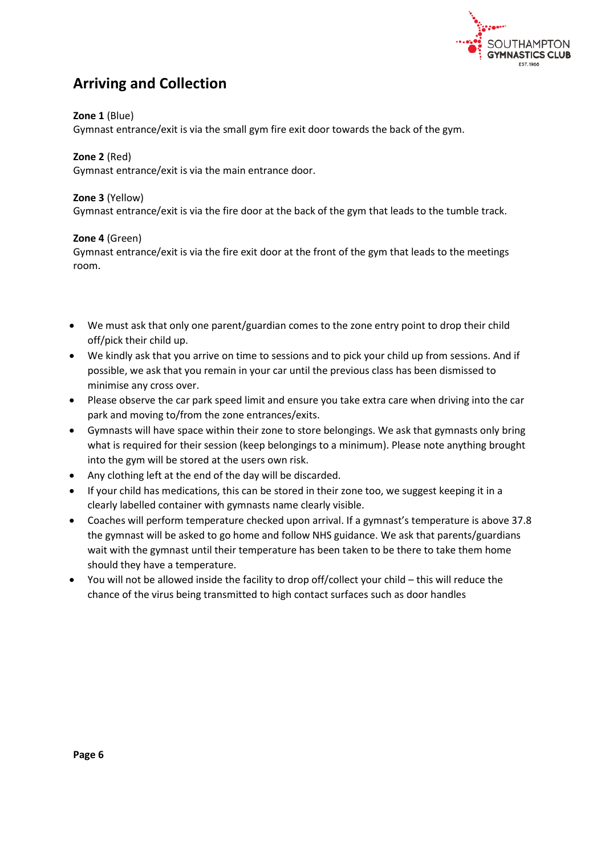

### **Arriving and Collection**

#### **Zone 1** (Blue)

Gymnast entrance/exit is via the small gym fire exit door towards the back of the gym.

### **Zone 2** (Red)

Gymnast entrance/exit is via the main entrance door.

#### **Zone 3** (Yellow)

Gymnast entrance/exit is via the fire door at the back of the gym that leads to the tumble track.

#### **Zone 4** (Green)

Gymnast entrance/exit is via the fire exit door at the front of the gym that leads to the meetings room.

- We must ask that only one parent/guardian comes to the zone entry point to drop their child off/pick their child up.
- We kindly ask that you arrive on time to sessions and to pick your child up from sessions. And if possible, we ask that you remain in your car until the previous class has been dismissed to minimise any cross over.
- Please observe the car park speed limit and ensure you take extra care when driving into the car park and moving to/from the zone entrances/exits.
- Gymnasts will have space within their zone to store belongings. We ask that gymnasts only bring what is required for their session (keep belongings to a minimum). Please note anything brought into the gym will be stored at the users own risk.
- Any clothing left at the end of the day will be discarded.
- If your child has medications, this can be stored in their zone too, we suggest keeping it in a clearly labelled container with gymnasts name clearly visible.
- Coaches will perform temperature checked upon arrival. If a gymnast's temperature is above 37.8 the gymnast will be asked to go home and follow NHS guidance. We ask that parents/guardians wait with the gymnast until their temperature has been taken to be there to take them home should they have a temperature.
- You will not be allowed inside the facility to drop off/collect your child this will reduce the chance of the virus being transmitted to high contact surfaces such as door handles